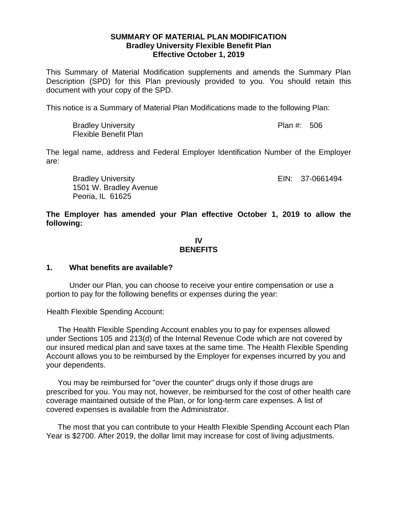## **SUMMARY OF MATERIAL PLAN MODIFICATION Bradley University Flexible Benefit Plan Effective October 1, 2019**

This Summary of Material Modification supplements and amends the Summary Plan Description (SPD) for this Plan previously provided to you. You should retain this document with your copy of the SPD.

This notice is a Summary of Material Plan Modifications made to the following Plan:

| <b>Bradley University</b>    | Plan #: 506 |  |
|------------------------------|-------------|--|
| <b>Flexible Benefit Plan</b> |             |  |

The legal name, address and Federal Employer Identification Number of the Employer are:

Bradley University **EIN: 37-0661494** 1501 W. Bradley Avenue Peoria, IL 61625

**The Employer has amended your Plan effective October 1, 2019 to allow the following:**

## **IV BENEFITS**

## **1. What benefits are available?**

Under our Plan, you can choose to receive your entire compensation or use a portion to pay for the following benefits or expenses during the year:

Health Flexible Spending Account:

The Health Flexible Spending Account enables you to pay for expenses allowed under Sections 105 and 213(d) of the Internal Revenue Code which are not covered by our insured medical plan and save taxes at the same time. The Health Flexible Spending Account allows you to be reimbursed by the Employer for expenses incurred by you and your dependents.

You may be reimbursed for "over the counter" drugs only if those drugs are prescribed for you. You may not, however, be reimbursed for the cost of other health care coverage maintained outside of the Plan, or for long-term care expenses. A list of covered expenses is available from the Administrator.

The most that you can contribute to your Health Flexible Spending Account each Plan Year is \$2700. After 2019, the dollar limit may increase for cost of living adjustments.